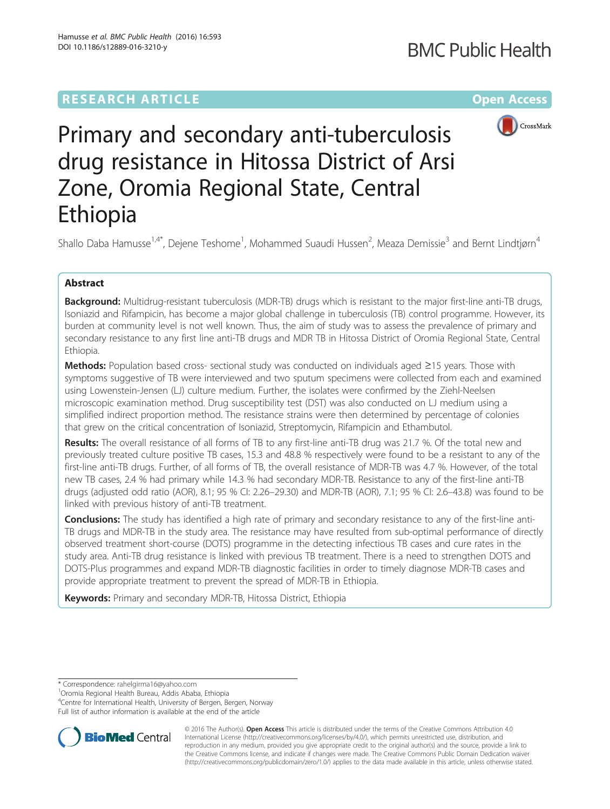# **RESEARCH ARTICLE Example 2014 12:30 The Company Access** (RESEARCH ARTICLE



Primary and secondary anti-tuberculosis drug resistance in Hitossa District of Arsi Zone, Oromia Regional State, Central Ethiopia

Shallo Daba Hamusse<sup>1,4\*</sup>, Dejene Teshome<sup>1</sup>, Mohammed Suaudi Hussen<sup>2</sup>, Meaza Demissie<sup>3</sup> and Bernt Lindtjørn<sup>4</sup>

# Abstract

Background: Multidrug-resistant tuberculosis (MDR-TB) drugs which is resistant to the major first-line anti-TB drugs, Isoniazid and Rifampicin, has become a major global challenge in tuberculosis (TB) control programme. However, its burden at community level is not well known. Thus, the aim of study was to assess the prevalence of primary and secondary resistance to any first line anti-TB drugs and MDR TB in Hitossa District of Oromia Regional State, Central Ethiopia.

Methods: Population based cross- sectional study was conducted on individuals aged ≥15 years. Those with symptoms suggestive of TB were interviewed and two sputum specimens were collected from each and examined using Lowenstein-Jensen (LJ) culture medium. Further, the isolates were confirmed by the Ziehl-Neelsen microscopic examination method. Drug susceptibility test (DST) was also conducted on LJ medium using a simplified indirect proportion method. The resistance strains were then determined by percentage of colonies that grew on the critical concentration of Isoniazid, Streptomycin, Rifampicin and Ethambutol.

Results: The overall resistance of all forms of TB to any first-line anti-TB drug was 21.7 %. Of the total new and previously treated culture positive TB cases, 15.3 and 48.8 % respectively were found to be a resistant to any of the first-line anti-TB drugs. Further, of all forms of TB, the overall resistance of MDR-TB was 4.7 %. However, of the total new TB cases, 2.4 % had primary while 14.3 % had secondary MDR-TB. Resistance to any of the first-line anti-TB drugs (adjusted odd ratio (AOR), 8.1; 95 % CI: 2.26–29.30) and MDR-TB (AOR), 7.1; 95 % CI: 2.6–43.8) was found to be linked with previous history of anti-TB treatment.

**Conclusions:** The study has identified a high rate of primary and secondary resistance to any of the first-line anti-TB drugs and MDR-TB in the study area. The resistance may have resulted from sub-optimal performance of directly observed treatment short-course (DOTS) programme in the detecting infectious TB cases and cure rates in the study area. Anti-TB drug resistance is linked with previous TB treatment. There is a need to strengthen DOTS and DOTS-Plus programmes and expand MDR-TB diagnostic facilities in order to timely diagnose MDR-TB cases and provide appropriate treatment to prevent the spread of MDR-TB in Ethiopia.

Keywords: Primary and secondary MDR-TB, Hitossa District, Ethiopia

\* Correspondence: [rahelgirma16@yahoo.com](mailto:rahelgirma16@yahoo.com) <sup>1</sup>

<sup>1</sup> Oromia Regional Health Bureau, Addis Ababa, Ethiopia

4 Centre for International Health, University of Bergen, Bergen, Norway

Full list of author information is available at the end of the article



© 2016 The Author(s). Open Access This article is distributed under the terms of the Creative Commons Attribution 4.0 International License [\(http://creativecommons.org/licenses/by/4.0/](http://creativecommons.org/licenses/by/4.0/)), which permits unrestricted use, distribution, and reproduction in any medium, provided you give appropriate credit to the original author(s) and the source, provide a link to the Creative Commons license, and indicate if changes were made. The Creative Commons Public Domain Dedication waiver [\(http://creativecommons.org/publicdomain/zero/1.0/](http://creativecommons.org/publicdomain/zero/1.0/)) applies to the data made available in this article, unless otherwise stated.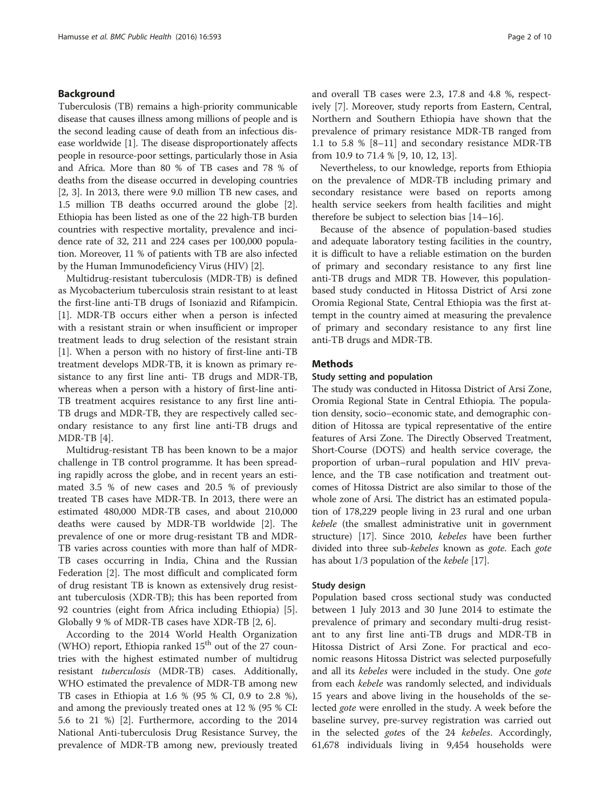### Background

Tuberculosis (TB) remains a high-priority communicable disease that causes illness among millions of people and is the second leading cause of death from an infectious disease worldwide [[1\]](#page-8-0). The disease disproportionately affects people in resource-poor settings, particularly those in Asia and Africa. More than 80 % of TB cases and 78 % of deaths from the disease occurred in developing countries [[2, 3](#page-8-0)]. In 2013, there were 9.0 million TB new cases, and 1.5 million TB deaths occurred around the globe [[2](#page-8-0)]. Ethiopia has been listed as one of the 22 high-TB burden countries with respective mortality, prevalence and incidence rate of 32, 211 and 224 cases per 100,000 population. Moreover, 11 % of patients with TB are also infected by the Human Immunodeficiency Virus (HIV) [\[2\]](#page-8-0).

Multidrug-resistant tuberculosis (MDR-TB) is defined as Mycobacterium tuberculosis strain resistant to at least the first-line anti-TB drugs of Isoniazid and Rifampicin. [[1\]](#page-8-0). MDR-TB occurs either when a person is infected with a resistant strain or when insufficient or improper treatment leads to drug selection of the resistant strain [[1\]](#page-8-0). When a person with no history of first-line anti-TB treatment develops MDR-TB, it is known as primary resistance to any first line anti- TB drugs and MDR-TB, whereas when a person with a history of first-line anti-TB treatment acquires resistance to any first line anti-TB drugs and MDR-TB, they are respectively called secondary resistance to any first line anti-TB drugs and MDR-TB [\[4](#page-8-0)].

Multidrug-resistant TB has been known to be a major challenge in TB control programme. It has been spreading rapidly across the globe, and in recent years an estimated 3.5 % of new cases and 20.5 % of previously treated TB cases have MDR-TB. In 2013, there were an estimated 480,000 MDR-TB cases, and about 210,000 deaths were caused by MDR-TB worldwide [\[2](#page-8-0)]. The prevalence of one or more drug-resistant TB and MDR-TB varies across counties with more than half of MDR-TB cases occurring in India, China and the Russian Federation [[2\]](#page-8-0). The most difficult and complicated form of drug resistant TB is known as extensively drug resistant tuberculosis (XDR-TB); this has been reported from 92 countries (eight from Africa including Ethiopia) [\[5](#page-8-0)]. Globally 9 % of MDR-TB cases have XDR-TB [\[2](#page-8-0), [6](#page-8-0)].

According to the 2014 World Health Organization (WHO) report, Ethiopia ranked  $15<sup>th</sup>$  out of the 27 countries with the highest estimated number of multidrug resistant tuberculosis (MDR-TB) cases. Additionally, WHO estimated the prevalence of MDR-TB among new TB cases in Ethiopia at 1.6 % (95 % CI, 0.9 to 2.8 %), and among the previously treated ones at 12 % (95 % CI: 5.6 to 21 %) [\[2](#page-8-0)]. Furthermore, according to the 2014 National Anti-tuberculosis Drug Resistance Survey, the prevalence of MDR-TB among new, previously treated and overall TB cases were 2.3, 17.8 and 4.8 %, respectively [[7\]](#page-8-0). Moreover, study reports from Eastern, Central, Northern and Southern Ethiopia have shown that the prevalence of primary resistance MDR-TB ranged from 1.1 to 5.8 % [\[8](#page-8-0)–[11\]](#page-8-0) and secondary resistance MDR-TB from 10.9 to 71.4 % [\[9](#page-8-0), [10](#page-8-0), [12](#page-8-0), [13\]](#page-8-0).

Nevertheless, to our knowledge, reports from Ethiopia on the prevalence of MDR-TB including primary and secondary resistance were based on reports among health service seekers from health facilities and might therefore be subject to selection bias [[14](#page-8-0)–[16](#page-8-0)].

Because of the absence of population-based studies and adequate laboratory testing facilities in the country, it is difficult to have a reliable estimation on the burden of primary and secondary resistance to any first line anti-TB drugs and MDR TB. However, this populationbased study conducted in Hitossa District of Arsi zone Oromia Regional State, Central Ethiopia was the first attempt in the country aimed at measuring the prevalence of primary and secondary resistance to any first line anti-TB drugs and MDR-TB.

### Methods

### Study setting and population

The study was conducted in Hitossa District of Arsi Zone, Oromia Regional State in Central Ethiopia. The population density, socio–economic state, and demographic condition of Hitossa are typical representative of the entire features of Arsi Zone. The Directly Observed Treatment, Short-Course (DOTS) and health service coverage, the proportion of urban–rural population and HIV prevalence, and the TB case notification and treatment outcomes of Hitossa District are also similar to those of the whole zone of Arsi. The district has an estimated population of 178,229 people living in 23 rural and one urban kebele (the smallest administrative unit in government structure) [\[17\]](#page-8-0). Since 2010, kebeles have been further divided into three sub-kebeles known as gote. Each gote has about  $1/3$  population of the *kebele* [\[17\]](#page-8-0).

### Study design

Population based cross sectional study was conducted between 1 July 2013 and 30 June 2014 to estimate the prevalence of primary and secondary multi-drug resistant to any first line anti-TB drugs and MDR-TB in Hitossa District of Arsi Zone. For practical and economic reasons Hitossa District was selected purposefully and all its kebeles were included in the study. One gote from each kebele was randomly selected, and individuals 15 years and above living in the households of the selected gote were enrolled in the study. A week before the baseline survey, pre-survey registration was carried out in the selected gotes of the 24 kebeles. Accordingly, 61,678 individuals living in 9,454 households were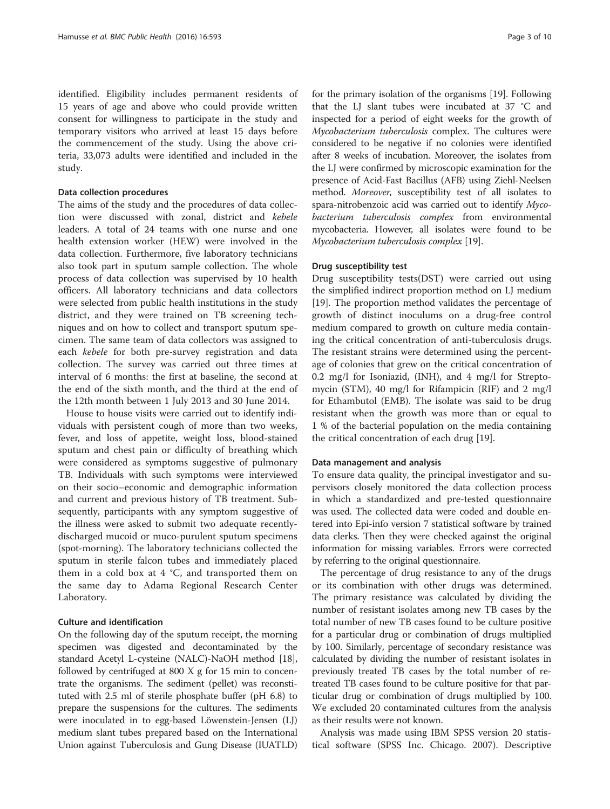identified. Eligibility includes permanent residents of 15 years of age and above who could provide written consent for willingness to participate in the study and temporary visitors who arrived at least 15 days before the commencement of the study. Using the above criteria, 33,073 adults were identified and included in the study.

### Data collection procedures

The aims of the study and the procedures of data collection were discussed with zonal, district and kebele leaders. A total of 24 teams with one nurse and one health extension worker (HEW) were involved in the data collection. Furthermore, five laboratory technicians also took part in sputum sample collection. The whole process of data collection was supervised by 10 health officers. All laboratory technicians and data collectors were selected from public health institutions in the study district, and they were trained on TB screening techniques and on how to collect and transport sputum specimen. The same team of data collectors was assigned to each kebele for both pre-survey registration and data collection. The survey was carried out three times at interval of 6 months: the first at baseline, the second at the end of the sixth month, and the third at the end of the 12th month between 1 July 2013 and 30 June 2014.

House to house visits were carried out to identify individuals with persistent cough of more than two weeks, fever, and loss of appetite, weight loss, blood-stained sputum and chest pain or difficulty of breathing which were considered as symptoms suggestive of pulmonary TB. Individuals with such symptoms were interviewed on their socio–economic and demographic information and current and previous history of TB treatment. Subsequently, participants with any symptom suggestive of the illness were asked to submit two adequate recentlydischarged mucoid or muco-purulent sputum specimens (spot-morning). The laboratory technicians collected the sputum in sterile falcon tubes and immediately placed them in a cold box at 4 °C, and transported them on the same day to Adama Regional Research Center Laboratory.

### Culture and identification

On the following day of the sputum receipt, the morning specimen was digested and decontaminated by the standard Acetyl L-cysteine (NALC)-NaOH method [[18](#page-8-0)], followed by centrifuged at 800 X g for 15 min to concentrate the organisms. The sediment (pellet) was reconstituted with 2.5 ml of sterile phosphate buffer (pH 6.8) to prepare the suspensions for the cultures. The sediments were inoculated in to egg-based Löwenstein-Jensen (LJ) medium slant tubes prepared based on the International Union against Tuberculosis and Gung Disease (IUATLD) for the primary isolation of the organisms [\[19\]](#page-8-0). Following that the LJ slant tubes were incubated at 37 °C and inspected for a period of eight weeks for the growth of Mycobacterium tuberculosis complex. The cultures were considered to be negative if no colonies were identified after 8 weeks of incubation. Moreover, the isolates from the LJ were confirmed by microscopic examination for the presence of Acid-Fast Bacillus (AFB) using Ziehl-Neelsen method. Moreover, susceptibility test of all isolates to spara-nitrobenzoic acid was carried out to identify Mycobacterium tuberculosis complex from environmental mycobacteria. However, all isolates were found to be Mycobacterium tuberculosis complex [\[19\]](#page-8-0).

### Drug susceptibility test

Drug susceptibility tests(DST) were carried out using the simplified indirect proportion method on LJ medium [[19\]](#page-8-0). The proportion method validates the percentage of growth of distinct inoculums on a drug-free control medium compared to growth on culture media containing the critical concentration of anti-tuberculosis drugs. The resistant strains were determined using the percentage of colonies that grew on the critical concentration of 0.2 mg/l for Isoniazid, (INH), and 4 mg/l for Streptomycin (STM), 40 mg/l for Rifampicin (RIF) and 2 mg/l for Ethambutol (EMB). The isolate was said to be drug resistant when the growth was more than or equal to 1 % of the bacterial population on the media containing the critical concentration of each drug [\[19](#page-8-0)].

### Data management and analysis

To ensure data quality, the principal investigator and supervisors closely monitored the data collection process in which a standardized and pre-tested questionnaire was used. The collected data were coded and double entered into Epi-info version 7 statistical software by trained data clerks. Then they were checked against the original information for missing variables. Errors were corrected by referring to the original questionnaire.

The percentage of drug resistance to any of the drugs or its combination with other drugs was determined. The primary resistance was calculated by dividing the number of resistant isolates among new TB cases by the total number of new TB cases found to be culture positive for a particular drug or combination of drugs multiplied by 100. Similarly, percentage of secondary resistance was calculated by dividing the number of resistant isolates in previously treated TB cases by the total number of retreated TB cases found to be culture positive for that particular drug or combination of drugs multiplied by 100. We excluded 20 contaminated cultures from the analysis as their results were not known.

Analysis was made using IBM SPSS version 20 statistical software (SPSS Inc. Chicago. 2007). Descriptive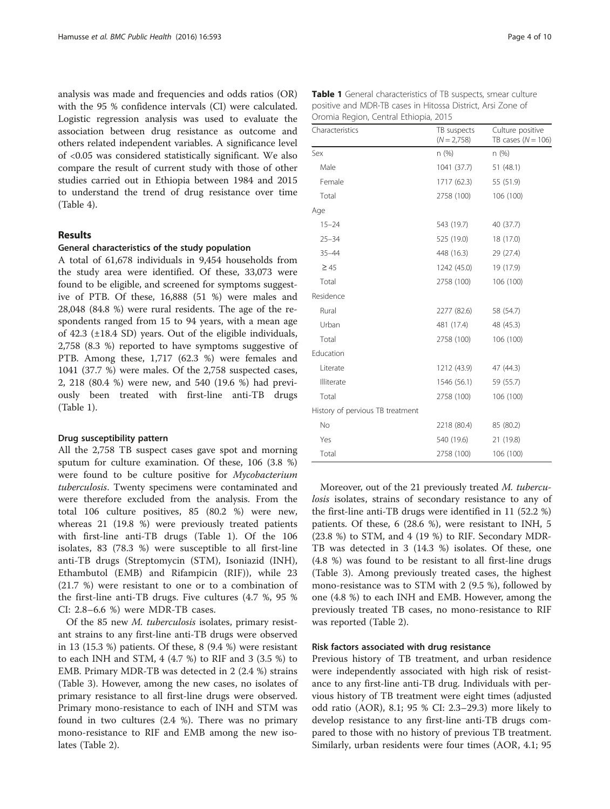analysis was made and frequencies and odds ratios (OR) with the 95 % confidence intervals (CI) were calculated. Logistic regression analysis was used to evaluate the association between drug resistance as outcome and others related independent variables. A significance level of <0.05 was considered statistically significant. We also compare the result of current study with those of other studies carried out in Ethiopia between 1984 and 2015 to understand the trend of drug resistance over time (Table [4\)](#page-6-0).

### Results

### General characteristics of the study population

A total of 61,678 individuals in 9,454 households from the study area were identified. Of these, 33,073 were found to be eligible, and screened for symptoms suggestive of PTB. Of these, 16,888 (51 %) were males and 28,048 (84.8 %) were rural residents. The age of the respondents ranged from 15 to 94 years, with a mean age of 42.3 (±18.4 SD) years. Out of the eligible individuals, 2,758 (8.3 %) reported to have symptoms suggestive of PTB. Among these, 1,717 (62.3 %) were females and 1041 (37.7 %) were males. Of the 2,758 suspected cases, 2, 218 (80.4 %) were new, and 540 (19.6 %) had previously been treated with first-line anti-TB drugs (Table 1).

### Drug susceptibility pattern

All the 2,758 TB suspect cases gave spot and morning sputum for culture examination. Of these, 106 (3.8 %) were found to be culture positive for Mycobacterium tuberculosis. Twenty specimens were contaminated and were therefore excluded from the analysis. From the total 106 culture positives, 85 (80.2 %) were new, whereas 21 (19.8 %) were previously treated patients with first-line anti-TB drugs (Table 1). Of the 106 isolates, 83 (78.3 %) were susceptible to all first-line anti-TB drugs (Streptomycin (STM), Isoniazid (INH), Ethambutol (EMB) and Rifampicin (RIF)), while 23 (21.7 %) were resistant to one or to a combination of the first-line anti-TB drugs. Five cultures (4.7 %, 95 % CI: 2.8–6.6 %) were MDR-TB cases.

Of the 85 new M. tuberculosis isolates, primary resistant strains to any first-line anti-TB drugs were observed in 13 (15.3 %) patients. Of these, 8 (9.4 %) were resistant to each INH and STM, 4 (4.7 %) to RIF and 3 (3.5 %) to EMB. Primary MDR-TB was detected in 2 (2.4 %) strains (Table [3](#page-5-0)). However, among the new cases, no isolates of primary resistance to all first-line drugs were observed. Primary mono-resistance to each of INH and STM was found in two cultures (2.4 %). There was no primary mono-resistance to RIF and EMB among the new isolates (Table [2](#page-4-0)).

| Table 1 General characteristics of TB suspects, smear culture |
|---------------------------------------------------------------|
| positive and MDR-TB cases in Hitossa District. Arsi Zone of   |
| Oromia Region, Central Ethiopia, 2015                         |

| Characteristics                  | TB suspects<br>$(N = 2,758)$ | Culture positive<br>TB cases $(N = 106)$ |
|----------------------------------|------------------------------|------------------------------------------|
| Sex                              | n(%)                         | n(%)                                     |
| Male                             | 1041 (37.7)                  | 51 (48.1)                                |
| Female                           | 1717 (62.3)                  | 55 (51.9)                                |
| Total                            | 2758 (100)                   | 106 (100)                                |
| Age                              |                              |                                          |
| $15 - 24$                        | 543 (19.7)                   | 40 (37.7)                                |
| $25 - 34$                        | 525 (19.0)                   | 18 (17.0)                                |
| $35 - 44$                        | 448 (16.3)                   | 29 (27.4)                                |
| $\geq 45$                        | 1242 (45.0)                  | 19 (17.9)                                |
| Total                            | 2758 (100)                   | 106 (100)                                |
| Residence                        |                              |                                          |
| Rural                            | 2277 (82.6)                  | 58 (54.7)                                |
| Urban                            | 481 (17.4)                   | 48 (45.3)                                |
| Total                            | 2758 (100)                   | 106 (100)                                |
| Education                        |                              |                                          |
| Literate                         | 1212 (43.9)                  | 47 (44.3)                                |
| Illiterate                       | 1546 (56.1)                  | 59 (55.7)                                |
| Total                            | 2758 (100)                   | 106 (100)                                |
| History of pervious TB treatment |                              |                                          |
| No                               | 2218 (80.4)                  | 85 (80.2)                                |
| Yes                              | 540 (19.6)                   | 21 (19.8)                                |
| Total                            | 2758 (100)                   | 106 (100)                                |

Moreover, out of the 21 previously treated M. tuberculosis isolates, strains of secondary resistance to any of the first-line anti-TB drugs were identified in 11 (52.2 %) patients. Of these, 6 (28.6 %), were resistant to INH, 5 (23.8 %) to STM, and 4 (19 %) to RIF. Secondary MDR-TB was detected in 3 (14.3 %) isolates. Of these, one (4.8 %) was found to be resistant to all first-line drugs (Table [3\)](#page-5-0). Among previously treated cases, the highest mono-resistance was to STM with 2 (9.5 %), followed by one (4.8 %) to each INH and EMB. However, among the previously treated TB cases, no mono-resistance to RIF was reported (Table [2\)](#page-4-0).

### Risk factors associated with drug resistance

Previous history of TB treatment, and urban residence were independently associated with high risk of resistance to any first-line anti-TB drug. Individuals with pervious history of TB treatment were eight times (adjusted odd ratio (AOR), 8.1; 95 % CI: 2.3–29.3) more likely to develop resistance to any first-line anti-TB drugs compared to those with no history of previous TB treatment. Similarly, urban residents were four times (AOR, 4.1; 95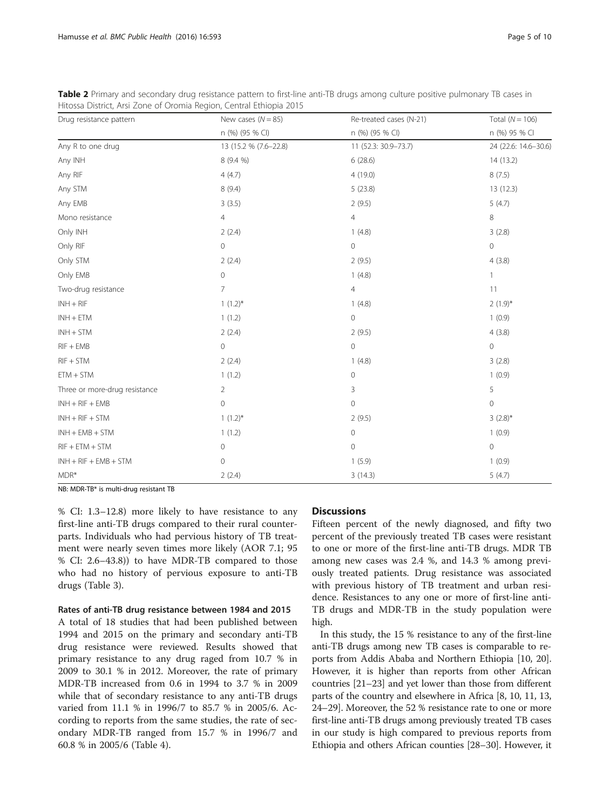| Drug resistance pattern       | New cases $(N = 85)$  | Re-treated cases (N-21) | Total $(N = 106)$<br>n (%) 95 % Cl |  |
|-------------------------------|-----------------------|-------------------------|------------------------------------|--|
|                               | n (%) (95 % CI)       | n (%) (95 % CI)         |                                    |  |
| Any R to one drug             | 13 (15.2 % (7.6-22.8) | 11 (52.3: 30.9-73.7)    | 24 (22.6: 14.6-30.6)               |  |
| Any INH                       | 8 (9.4 %)             | 6(28.6)                 | 14 (13.2)                          |  |
| Any RIF                       | 4(4.7)                | 4(19.0)                 | 8(7.5)                             |  |
| Any STM                       | 8(9.4)                | 5(23.8)                 | 13(12.3)                           |  |
| Any EMB                       | 3(3.5)                | 2(9.5)                  | 5(4.7)                             |  |
| Mono resistance               | $\overline{4}$        | $\overline{4}$          | 8                                  |  |
| Only INH                      | 2(2.4)                | 1(4.8)                  | 3(2.8)                             |  |
| Only RIF                      | 0                     | $\mathbf 0$             | $\mathbf 0$                        |  |
| Only STM                      | 2(2.4)                | 2(9.5)                  | 4(3.8)                             |  |
| Only EMB                      | $\mathbf 0$           | 1(4.8)                  | $\mathbf{1}$                       |  |
| Two-drug resistance           | 7                     | $\overline{4}$          | 11                                 |  |
| $INH + RIF$                   | $1(1.2)^{*}$          | 1(4.8)                  | $2(1.9)^{*}$                       |  |
| $INH + ETM$                   | 1(1.2)                | $\mathbf 0$             | 1(0.9)                             |  |
| $INH + STM$                   | 2(2.4)                | 2(9.5)                  | 4(3.8)                             |  |
| $RIF + EMB$                   | 0                     | $\mathbf{0}$            | $\circ$                            |  |
| $RIF + STM$                   | 2(2.4)                | 1(4.8)                  | 3(2.8)                             |  |
| $ETM + STM$                   | 1(1.2)                | $\mathbf 0$             | 1(0.9)                             |  |
| Three or more-drug resistance | $\overline{2}$        | 3                       | 5                                  |  |
| $INH + RIF + EMB$             | $\mathbf 0$           | $\mathbb O$             | $\mathbf 0$                        |  |
| $INH + RIF + STM$             | $1(1.2)^{*}$          | 2(9.5)                  | $3(2.8)$ *                         |  |
| $INH + EMB + STM$             | 1(1.2)                | $\mathbf 0$             | 1(0.9)                             |  |
| $RIF + ETM + STM$             | $\mathbf 0$           | $\mathbf 0$             | $\mathbf 0$                        |  |
| $INH + RIF + EMB + STM$       | 0                     | 1(5.9)                  | 1(0.9)                             |  |
| MDR*                          | 2(2.4)                | 3(14.3)                 | 5(4.7)                             |  |

<span id="page-4-0"></span>Table 2 Primary and secondary drug resistance pattern to first-line anti-TB drugs among culture positive pulmonary TB cases in

NB: MDR-TB\* is multi-drug resistant TB

% CI: 1.3–12.8) more likely to have resistance to any first-line anti-TB drugs compared to their rural counterparts. Individuals who had pervious history of TB treatment were nearly seven times more likely (AOR 7.1; 95 % CI: 2.6–43.8)) to have MDR-TB compared to those who had no history of pervious exposure to anti-TB drugs (Table [3\)](#page-5-0).

### Rates of anti-TB drug resistance between 1984 and 2015

A total of 18 studies that had been published between 1994 and 2015 on the primary and secondary anti-TB drug resistance were reviewed. Results showed that primary resistance to any drug raged from 10.7 % in 2009 to 30.1 % in 2012. Moreover, the rate of primary MDR-TB increased from 0.6 in 1994 to 3.7 % in 2009 while that of secondary resistance to any anti-TB drugs varied from 11.1 % in 1996/7 to 85.7 % in 2005/6. According to reports from the same studies, the rate of secondary MDR-TB ranged from 15.7 % in 1996/7 and 60.8 % in 2005/6 (Table [4](#page-6-0)).

### **Discussions**

Fifteen percent of the newly diagnosed, and fifty two percent of the previously treated TB cases were resistant to one or more of the first-line anti-TB drugs. MDR TB among new cases was 2.4 %, and 14.3 % among previously treated patients. Drug resistance was associated with previous history of TB treatment and urban residence. Resistances to any one or more of first-line anti-TB drugs and MDR-TB in the study population were high.

In this study, the 15 % resistance to any of the first-line anti-TB drugs among new TB cases is comparable to reports from Addis Ababa and Northern Ethiopia [\[10, 20](#page-8-0)]. However, it is higher than reports from other African countries [[21](#page-8-0)–[23\]](#page-8-0) and yet lower than those from different parts of the country and elsewhere in Africa [[8, 10](#page-8-0), [11, 13](#page-8-0), [24](#page-8-0)–[29\]](#page-8-0). Moreover, the 52 % resistance rate to one or more first-line anti-TB drugs among previously treated TB cases in our study is high compared to previous reports from Ethiopia and others African counties [\[28](#page-8-0)–[30](#page-8-0)]. However, it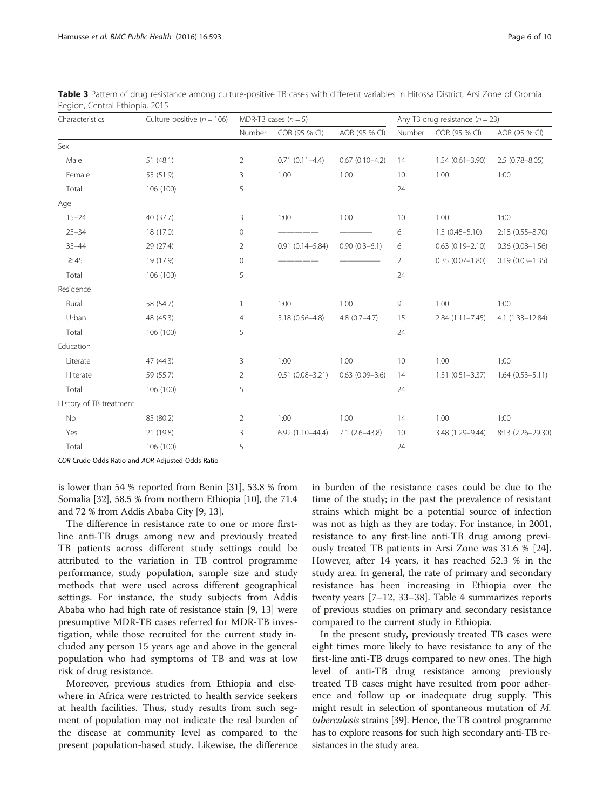| Characteristics         | Culture positive ( $n = 106$ ) | MDR-TB cases $(n = 5)$ |                     |                     | Any TB drug resistance ( $n = 23$ ) |                     |                     |
|-------------------------|--------------------------------|------------------------|---------------------|---------------------|-------------------------------------|---------------------|---------------------|
|                         |                                | Number                 | COR (95 % CI)       | AOR (95 % CI)       | Number                              | COR (95 % CI)       | AOR (95 % CI)       |
| Sex                     |                                |                        |                     |                     |                                     |                     |                     |
| Male                    | 51(48.1)                       | $\overline{2}$         | $0.71(0.11-4.4)$    | $0.67(0.10-4.2)$    | 14                                  | $1.54(0.61 - 3.90)$ | $2.5(0.78 - 8.05)$  |
| Female                  | 55 (51.9)                      | 3                      | 1.00                | 1.00                | 10                                  | 1.00                | 1:00                |
| Total                   | 106 (100)                      | 5                      |                     |                     | 24                                  |                     |                     |
| Age                     |                                |                        |                     |                     |                                     |                     |                     |
| $15 - 24$               | 40 (37.7)                      | 3                      | 1:00                | 1.00                | 10                                  | 1.00                | 1:00                |
| $25 - 34$               | 18 (17.0)                      | 0                      |                     |                     | 6                                   | $1.5(0.45 - 5.10)$  | $2:18(0.55 - 8.70)$ |
| $35 - 44$               | 29 (27.4)                      | $\overline{2}$         | $0.91(0.14 - 5.84)$ | $0.90(0.3-6.1)$     | 6                                   | $0.63(0.19 - 2.10)$ | $0.36(0.08 - 1.56)$ |
| $\geq 45$               | 19 (17.9)                      | 0                      |                     |                     | $\overline{2}$                      | $0.35(0.07 - 1.80)$ | $0.19(0.03 - 1.35)$ |
| Total                   | 106 (100)                      | 5                      |                     |                     | 24                                  |                     |                     |
| Residence               |                                |                        |                     |                     |                                     |                     |                     |
| Rural                   | 58 (54.7)                      | $\mathbf{1}$           | 1:00                | 1.00                | 9                                   | 1.00                | 1:00                |
| Urban                   | 48 (45.3)                      | 4                      | $5.18(0.56 - 4.8)$  | $4.8(0.7-4.7)$      | 15                                  | $2.84(1.11 - 7.45)$ | $4.1(1.33 - 12.84)$ |
| Total                   | 106 (100)                      | 5                      |                     |                     | 24                                  |                     |                     |
| Education               |                                |                        |                     |                     |                                     |                     |                     |
| Literate                | 47 (44.3)                      | 3                      | 1:00                | 1.00                | 10                                  | 1.00                | 1:00                |
| Illiterate              | 59 (55.7)                      | $\overline{2}$         | $0.51(0.08 - 3.21)$ | $0.63$ $(0.09-3.6)$ | 14                                  | $1.31(0.51 - 3.37)$ | $1.64(0.53 - 5.11)$ |
| Total                   | 106 (100)                      | 5                      |                     |                     | 24                                  |                     |                     |
| History of TB treatment |                                |                        |                     |                     |                                     |                     |                     |
| No                      | 85 (80.2)                      | $\overline{2}$         | 1:00                | 1.00                | 14                                  | 1.00                | 1:00                |
| Yes                     | 21 (19.8)                      | 3                      | $6.92(1.10-44.4)$   | $7.1(2.6-43.8)$     | 10                                  | 3.48 (1.29-9.44)    | 8:13 (2.26-29.30)   |
| Total                   | 106 (100)                      | 5                      |                     |                     | 24                                  |                     |                     |

<span id="page-5-0"></span>Table 3 Pattern of drug resistance among culture-positive TB cases with different variables in Hitossa District, Arsi Zone of Oromia Region, Central Ethiopia, 2015

COR Crude Odds Ratio and AOR Adjusted Odds Ratio

is lower than 54 % reported from Benin [[31](#page-8-0)], 53.8 % from Somalia [\[32\]](#page-8-0), 58.5 % from northern Ethiopia [[10](#page-8-0)], the 71.4 and 72 % from Addis Ababa City [\[9](#page-8-0), [13](#page-8-0)].

The difference in resistance rate to one or more firstline anti-TB drugs among new and previously treated TB patients across different study settings could be attributed to the variation in TB control programme performance, study population, sample size and study methods that were used across different geographical settings. For instance, the study subjects from Addis Ababa who had high rate of resistance stain [[9, 13\]](#page-8-0) were presumptive MDR-TB cases referred for MDR-TB investigation, while those recruited for the current study included any person 15 years age and above in the general population who had symptoms of TB and was at low risk of drug resistance.

Moreover, previous studies from Ethiopia and elsewhere in Africa were restricted to health service seekers at health facilities. Thus, study results from such segment of population may not indicate the real burden of the disease at community level as compared to the present population-based study. Likewise, the difference in burden of the resistance cases could be due to the time of the study; in the past the prevalence of resistant strains which might be a potential source of infection was not as high as they are today. For instance, in 2001, resistance to any first-line anti-TB drug among previously treated TB patients in Arsi Zone was 31.6 % [\[24](#page-8-0)]. However, after 14 years, it has reached 52.3 % in the study area. In general, the rate of primary and secondary resistance has been increasing in Ethiopia over the twenty years [[7](#page-8-0)–[12, 33](#page-8-0)–[38\]](#page-9-0). Table [4](#page-6-0) summarizes reports of previous studies on primary and secondary resistance compared to the current study in Ethiopia.

In the present study, previously treated TB cases were eight times more likely to have resistance to any of the first-line anti-TB drugs compared to new ones. The high level of anti-TB drug resistance among previously treated TB cases might have resulted from poor adherence and follow up or inadequate drug supply. This might result in selection of spontaneous mutation of M. tuberculosis strains [[39](#page-9-0)]. Hence, the TB control programme has to explore reasons for such high secondary anti-TB resistances in the study area.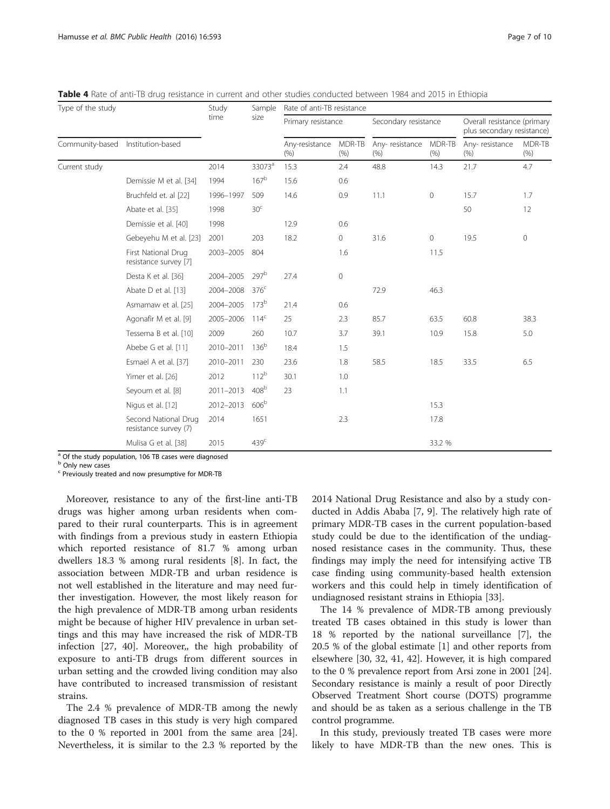| Type of the study                 |                                               | Study<br>time | Sample<br>size     | Rate of anti-TB resistance |                 |                        |                 |                                                           |                |
|-----------------------------------|-----------------------------------------------|---------------|--------------------|----------------------------|-----------------|------------------------|-----------------|-----------------------------------------------------------|----------------|
|                                   |                                               |               |                    | Primary resistance         |                 | Secondary resistance   |                 | Overall resistance (primary<br>plus secondary resistance) |                |
| Community-based Institution-based |                                               |               |                    | Any-resistance<br>(% )     | MDR-TB<br>(9/6) | Any-resistance<br>(% ) | MDR-TB<br>(9/6) | Any-resistance<br>(% )                                    | MDR-TB<br>(% ) |
| Current study                     |                                               | 2014          | 33073 <sup>a</sup> | 15.3                       | 2.4             | 48.8                   | 14.3            | 21.7                                                      | 4.7            |
|                                   | Demissie M et al. [34]                        | 1994          | 167 <sup>b</sup>   | 15.6                       | 0.6             |                        |                 |                                                           |                |
|                                   | Bruchfeld et. al [22]                         | 1996-1997     | 509                | 14.6                       | 0.9             | 11.1                   | $\mathbf 0$     | 15.7                                                      | 1.7            |
|                                   | Abate et al. [35]                             | 1998          | 30 <sup>c</sup>    |                            |                 |                        |                 | 50                                                        | 12             |
|                                   | Demissie et al. [40]                          | 1998          |                    | 12.9                       | 0.6             |                        |                 |                                                           |                |
|                                   | Gebeyehu M et al. [23]                        | 2001          | 203                | 18.2                       | $\circ$         | 31.6                   | $\circ$         | 19.5                                                      | $\mathbf{0}$   |
|                                   | First National Drug<br>resistance survey [7]  | 2003-2005     | 804                |                            | 1.6             |                        | 11.5            |                                                           |                |
|                                   | Desta K et al. [36]                           | 2004-2005     | 297 <sup>b</sup>   | 27.4                       | $\mathbf{0}$    |                        |                 |                                                           |                |
|                                   | Abate D et al. [13]                           | 2004-2008     | $376^{\circ}$      |                            |                 | 72.9                   | 46.3            |                                                           |                |
|                                   | Asmamaw et al. [25]                           | 2004-2005     | $173^b$            | 21.4                       | 0.6             |                        |                 |                                                           |                |
|                                   | Agonafir M et al. [9]                         | 2005-2006     | 114 <sup>c</sup>   | 25                         | 2.3             | 85.7                   | 63.5            | 60.8                                                      | 38.3           |
|                                   | Tessema B et al. [10]                         | 2009          | 260                | 10.7                       | 3.7             | 39.1                   | 10.9            | 15.8                                                      | 5.0            |
|                                   | Abebe G et al. [11]                           | 2010-2011     | 136 <sup>b</sup>   | 18.4                       | 1.5             |                        |                 |                                                           |                |
|                                   | Esmael A et al. [37]                          | 2010-2011     | 230                | 23.6                       | 1.8             | 58.5                   | 18.5            | 33.5                                                      | 6.5            |
|                                   | Yimer et al. [26]                             | 2012          | $112^{b}$          | 30.1                       | 1.0             |                        |                 |                                                           |                |
|                                   | Seyoum et al. [8]                             | $2011 - 2013$ | 408 <sup>b</sup>   | 23                         | 1.1             |                        |                 |                                                           |                |
|                                   | Nigus et al. [12]                             | 2012-2013     | 606 <sup>b</sup>   |                            |                 |                        | 15.3            |                                                           |                |
|                                   | Second National Drug<br>resistance survey (7) | 2014          | 1651               |                            | 2.3             |                        | 17.8            |                                                           |                |
|                                   | Mulisa G et al. [38]                          | 2015          | 439 <sup>c</sup>   |                            |                 |                        | 33.2 %          |                                                           |                |

<span id="page-6-0"></span>Table 4 Rate of anti-TB drug resistance in current and other studies conducted between 1984 and 2015 in Ethiopia

<sup>a</sup> Of the study population, 106 TB cases were diagnosed

**b** Only new cases

<sup>c</sup> Previously treated and now presumptive for MDR-TB

Moreover, resistance to any of the first-line anti-TB drugs was higher among urban residents when compared to their rural counterparts. This is in agreement with findings from a previous study in eastern Ethiopia which reported resistance of 81.7 % among urban dwellers 18.3 % among rural residents [\[8\]](#page-8-0). In fact, the association between MDR-TB and urban residence is not well established in the literature and may need further investigation. However, the most likely reason for the high prevalence of MDR-TB among urban residents might be because of higher HIV prevalence in urban settings and this may have increased the risk of MDR-TB infection [[27,](#page-8-0) [40](#page-9-0)]. Moreover,, the high probability of exposure to anti-TB drugs from different sources in urban setting and the crowded living condition may also have contributed to increased transmission of resistant strains.

The 2.4 % prevalence of MDR-TB among the newly diagnosed TB cases in this study is very high compared to the 0 % reported in 2001 from the same area [\[24](#page-8-0)]. Nevertheless, it is similar to the 2.3 % reported by the 2014 National Drug Resistance and also by a study conducted in Addis Ababa [[7, 9](#page-8-0)]. The relatively high rate of primary MDR-TB cases in the current population-based study could be due to the identification of the undiagnosed resistance cases in the community. Thus, these findings may imply the need for intensifying active TB case finding using community-based health extension workers and this could help in timely identification of undiagnosed resistant strains in Ethiopia [\[33](#page-8-0)].

The 14 % prevalence of MDR-TB among previously treated TB cases obtained in this study is lower than 18 % reported by the national surveillance [[7\]](#page-8-0), the 20.5 % of the global estimate [\[1](#page-8-0)] and other reports from elsewhere [\[30, 32](#page-8-0), [41, 42](#page-9-0)]. However, it is high compared to the 0 % prevalence report from Arsi zone in 2001 [[24](#page-8-0)]. Secondary resistance is mainly a result of poor Directly Observed Treatment Short course (DOTS) programme and should be as taken as a serious challenge in the TB control programme.

In this study, previously treated TB cases were more likely to have MDR-TB than the new ones. This is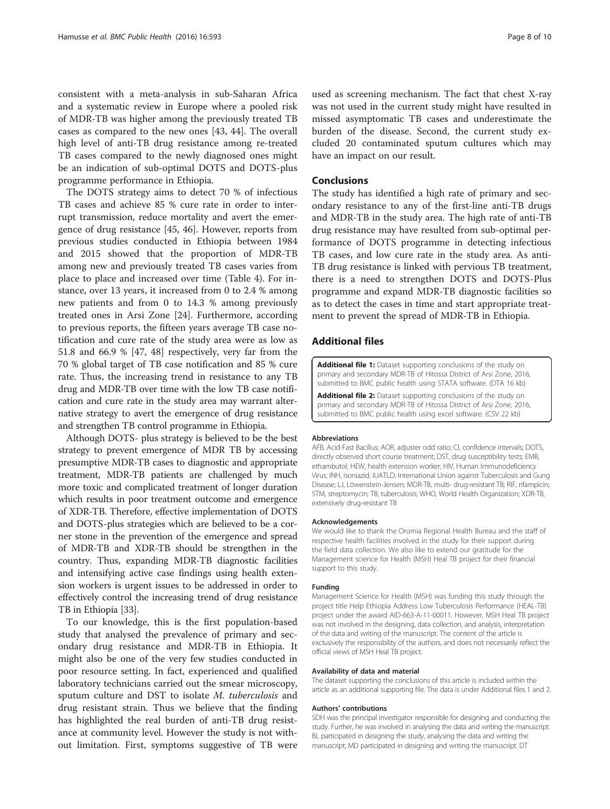consistent with a meta-analysis in sub-Saharan Africa and a systematic review in Europe where a pooled risk of MDR-TB was higher among the previously treated TB cases as compared to the new ones [[43, 44](#page-9-0)]. The overall high level of anti-TB drug resistance among re-treated TB cases compared to the newly diagnosed ones might be an indication of sub-optimal DOTS and DOTS-plus programme performance in Ethiopia.

The DOTS strategy aims to detect 70 % of infectious TB cases and achieve 85 % cure rate in order to interrupt transmission, reduce mortality and avert the emergence of drug resistance [\[45](#page-9-0), [46](#page-9-0)]. However, reports from previous studies conducted in Ethiopia between 1984 and 2015 showed that the proportion of MDR-TB among new and previously treated TB cases varies from place to place and increased over time (Table [4](#page-6-0)). For instance, over 13 years, it increased from 0 to 2.4 % among new patients and from 0 to 14.3 % among previously treated ones in Arsi Zone [\[24](#page-8-0)]. Furthermore, according to previous reports, the fifteen years average TB case notification and cure rate of the study area were as low as 51.8 and 66.9 % [\[47](#page-9-0), [48](#page-9-0)] respectively, very far from the 70 % global target of TB case notification and 85 % cure rate. Thus, the increasing trend in resistance to any TB drug and MDR-TB over time with the low TB case notification and cure rate in the study area may warrant alternative strategy to avert the emergence of drug resistance and strengthen TB control programme in Ethiopia.

Although DOTS- plus strategy is believed to be the best strategy to prevent emergence of MDR TB by accessing presumptive MDR-TB cases to diagnostic and appropriate treatment, MDR-TB patients are challenged by much more toxic and complicated treatment of longer duration which results in poor treatment outcome and emergence of XDR-TB. Therefore, effective implementation of DOTS and DOTS-plus strategies which are believed to be a corner stone in the prevention of the emergence and spread of MDR-TB and XDR-TB should be strengthen in the country. Thus, expanding MDR-TB diagnostic facilities and intensifying active case findings using health extension workers is urgent issues to be addressed in order to effectively control the increasing trend of drug resistance TB in Ethiopia [[33](#page-8-0)].

To our knowledge, this is the first population-based study that analysed the prevalence of primary and secondary drug resistance and MDR-TB in Ethiopia. It might also be one of the very few studies conducted in poor resource setting. In fact, experienced and qualified laboratory technicians carried out the smear microscopy, sputum culture and DST to isolate M. tuberculosis and drug resistant strain. Thus we believe that the finding has highlighted the real burden of anti-TB drug resistance at community level. However the study is not without limitation. First, symptoms suggestive of TB were

used as screening mechanism. The fact that chest X-ray was not used in the current study might have resulted in missed asymptomatic TB cases and underestimate the burden of the disease. Second, the current study excluded 20 contaminated sputum cultures which may have an impact on our result.

### Conclusions

The study has identified a high rate of primary and secondary resistance to any of the first-line anti-TB drugs and MDR-TB in the study area. The high rate of anti-TB drug resistance may have resulted from sub-optimal performance of DOTS programme in detecting infectious TB cases, and low cure rate in the study area. As anti-TB drug resistance is linked with pervious TB treatment, there is a need to strengthen DOTS and DOTS-Plus programme and expand MDR-TB diagnostic facilities so as to detect the cases in time and start appropriate treatment to prevent the spread of MDR-TB in Ethiopia.

### Additional files

[Additional file 1:](dx.doi.org/10.1186/s12889-016-3210-y) Dataset supporting conclusions of the study on primary and secondary MDR-TB of Hitossa District of Arsi Zone, 2016, submitted to BMC public health using STATA software. (DTA 16 kb)

[Additional file 2:](dx.doi.org/10.1186/s12889-016-3210-y) Dataset supporting conclusions of the study on primary and secondary MDR-TB of Hitossa District of Arsi Zone, 2016, submitted to BMC public health using excel software. (CSV 22 kb)

### Abbreviations

AFB, Acid-Fast Bacillus; AOR, adjuster odd ratio; CI, confidence intervals; DOTS, directly observed short course treatment; DST, drug susceptibility tests; EMB, ethambutol; HEW, health extension worker; HIV, Human Immunodeficiency Virus; INH, isoniazid; IUATLD, International Union against Tuberculosis and Gung Disease; LJ, Löwenstein-Jensen; MDR-TB, multi- drug-resistant TB; RIF, rifampicin; STM, streptomycin; TB, tuberculosis; WHO, World Health Organization; XDR-TB, extensively drug-resistant TB

#### Acknowledgements

We would like to thank the Oromia Regional Health Bureau and the staff of respective health facilities involved in the study for their support during the field data collection. We also like to extend our gratitude for the Management science for Health (MSH) Heal TB project for their financial support to this study.

#### Funding

Management Science for Health (MSH) was funding this study through the project title Help Ethiopia Address Low Tuberculosis Performance (HEAL-TB) project under the award AID-663-A-11-00011. However, MSH Heal TB project was not involved in the designing, data collection, and analysis, interpretation of the data and writing of the manuscript. The content of the article is exclusively the responsibility of the authors, and does not necessarily reflect the official views of MSH Heal TB project.

### Availability of data and material

The dataset supporting the conclusions of this article is included within the article as an additional supporting file. The data is under Additional files 1 and 2.

#### Authors' contributions

SDH was the principal investigator responsible for designing and conducting the study. Further, he was involved in analysing the data and writing the manuscript. BL participated in designing the study, analysing the data and writing the manuscript; MD participated in designing and writing the manuscript. DT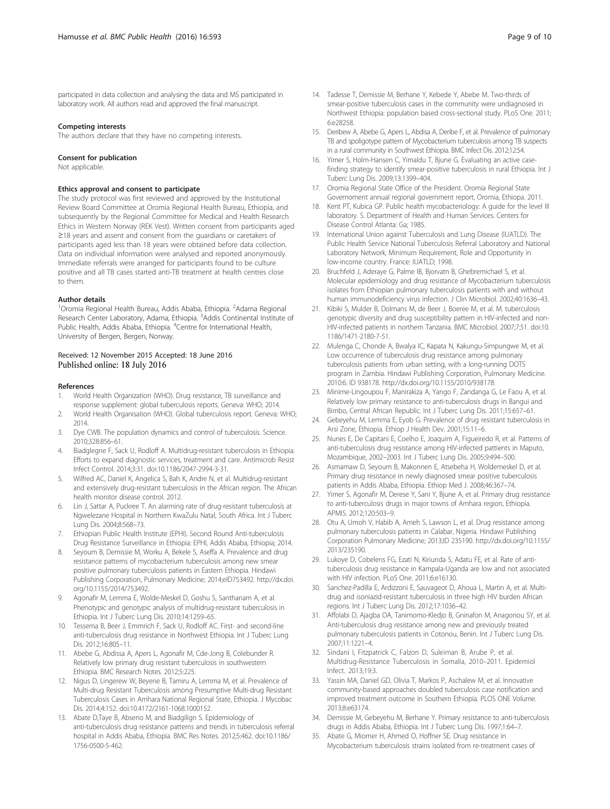<span id="page-8-0"></span>participated in data collection and analysing the data and MS participated in laboratory work. All authors read and approved the final manuscript.

#### Competing interests

The authors declare that they have no competing interests.

#### Consent for publication

Not applicable.

### Ethics approval and consent to participate

The study protocol was first reviewed and approved by the Institutional Review Board Committee at Oromia Regional Health Bureau, Ethiopia, and subsequently by the Regional Committee for Medical and Health Research Ethics in Western Norway (REK Vest). Written consent from participants aged ≥18 years and assent and consent from the guardians or caretakers of participants aged less than 18 years were obtained before data collection. Data on individual information were analysed and reported anonymously. Immediate referrals were arranged for participants found to be culture positive and all TB cases started anti-TB treatment at health centres close to them.

#### Author details

<sup>1</sup>Oromia Regional Health Bureau, Addis Ababa, Ethiopia. <sup>2</sup>Adama Regional Research Center Laboratory, Adama, Ethiopia. <sup>3</sup>Addis Continental Institute of Public Health, Addis Ababa, Ethiopia. <sup>4</sup>Centre for International Health, University of Bergen, Bergen, Norway.

### Received: 12 November 2015 Accepted: 18 June 2016 Published online: 18 July 2016

#### References

- 1. World Health Organization (WHO). Drug resistance, TB surveillance and response supplement: global tuberculosis reports. Geneva: WHO; 2014.
- 2. World Health Organisation (WHO). Global tuberculosis report. Geneva: WHO; 2014.
- 3. Dye CWB. The population dynamics and control of tuberculosis. Science. 2010;328:856–61.
- 4. Biadglegne F, Sack U, Rodloff A. Multidrug-resistant tuberculosis in Ethiopia: Efforts to expand diagnostic services, treatment and care. Antimicrob Resist Infect Control. 2014;3:31. doi:[10.1186/2047-2994-3-31.](http://dx.doi.org/10.1186/2047-2994-3-31)
- 5. Wilfred AC, Daniel K, Angelica S, Bah K, Andre N, et al. Multidrug-resistant and extensively drug-resistant tuberculosis in the African region. The African health monitor disease control. 2012.
- 6. Lin J, Sattar A, Puckree T. An alarming rate of drug-resistant tuberculosis at Ngwelezane Hospital in Northern KwaZulu Natal, South Africa. Int J Tuberc Lung Dis. 2004;8:568–73.
- 7. Ethiopian Public Health Institute (EPHI). Second Round Anti-tuberculosis Drug Resistance Surveillance in Ethiopia: EPHI, Addis Ababa, Ethiopia; 2014.
- 8. Seyoum B, Demissie M, Worku A, Bekele S, Aseffa A. Prevalence and drug resistance patterns of mycobacterium tuberculosis among new smear positive pulmonary tuberculosis patients in Eastern Ethiopia. Hindawi Publishing Corporation, Pulmonary Medicine; 2014;eID753492. [http://dx.doi.](http://dx.doi.org/10.1155/2014/753492) [org/10.1155/2014/753492.](http://dx.doi.org/10.1155/2014/753492)
- Agonafir M, Lemma E, Wolde-Meskel D, Goshu S, Santhanam A, et al. Phenotypic and genotypic analysis of multidrug-resistant tuberculosis in Ethiopia. Int J Tuberc Lung Dis. 2010;14:1259–65.
- 10. Tessema B, Beer J, Emmrich F, Sack U, Rodloff AC. First- and second-line anti-tuberculosis drug resistance in Northwest Ethiopia. Int J Tuberc Lung Dis. 2012;16:805–11.
- 11. Abebe G, Abdissa A, Apers L, Agonafir M, Cde-Jong B, Colebunder R. Relatively low primary drug resistant tuberculosis in southwestern Ethiopia. BMC Research Notes. 2012;5:225.
- 12. Nigus D, Lingerew W, Beyene B, Tamiru A, Lemma M, et al. Prevalence of Multi-drug Resistant Tuberculosis among Presumptive Multi-drug Resistant Tuberculosis Cases in Amhara National Regional State, Ethiopia. J Mycobac Dis. 2014;4:152. doi:[10.4172/2161-1068.1000152.](http://dx.doi.org/10.4172/2161-1068.1000152)
- 13. Abate D,Taye B, Abseno M, and Biadgilign S. Epidemiology of anti-tuberculosis drug resistance patterns and trends in tuberculosis referral hospital in Addis Ababa, Ethiopia. BMC Res Notes. 2012;5:462. doi:[10.1186/](http://dx.doi.org/10.1186/1756-0500-5-462) [1756-0500-5-462.](http://dx.doi.org/10.1186/1756-0500-5-462)
- 14. Tadesse T, Demissie M, Berhane Y, Kebede Y, Abebe M. Two-thirds of smear-positive tuberculosis cases in the community were undiagnosed in Northwest Ethiopia: population based cross-sectional study. PLoS One. 2011; 6:e28258.
- 15. Deribew A, Abebe G, Apers L, Abdisa A, Deribe F, et al. Prevalence of pulmonary TB and spoligotype pattern of Mycobacterium tuberculosis among TB suspects in a rural community in Southwest Ethiopia. BMC Infect Dis. 2012;12:54.
- 16. Yimer S, Holm-Hansen C, Yimaldu T, Bjune G. Evaluating an active casefinding strategy to identify smear-positive tuberculosis in rural Ethiopia. Int J Tuberc Lung Dis. 2009;13:1399–404.
- 17. Oromia Regional State Office of the President. Oromia Regional State Governoment annual regional government report, Oromia, Ethiopa. 2011.
- 18. Kent PT, Kubica GP. Public health mycobacteriology: A guide for the level III laboratory. S. Department of Health and Human Services. Centers for Disease Control Atlanta: Ga; 1985.
- 19. International Union against Tuberculosis and Lung Disease (IUATLD). The Public Health Service National Tuberculosis Referral Laboratory and National Laboratory Network, Minimum Requirement, Role and Opportunity in low-income country. France: IUATLD; 1998.
- 20. Bruchfeld J, Aderaye G, Palme IB, Bjorvatn B, Ghebremichael S, et al. Molecular epidemiology and drug resistance of Mycobacterium tuberculosis isolates from Ethiopian pulmonary tuberculosis patients with and without human immunodeficiency virus infection. J Clin Microbiol. 2002;40:1636–43.
- 21. Kibiki S, Mulder B, Dolmans M, de Beer J, Boeree M, et al. M. tuberculosis genotypic diversity and drug susceptibility pattern in HIV-infected and non-HIV-infected patients in northern Tanzania. BMC Microbiol. 2007;7:51. doi:[10.](http://dx.doi.org/10.1186/1471-2180-7-51) [1186/1471-2180-7-51.](http://dx.doi.org/10.1186/1471-2180-7-51)
- 22. Mulenga C, Chonde A, Bwalya IC, Kapata N, Kakungu-Simpungwe M, et al. Low occurrence of tuberculosis drug resistance among pulmonary tuberculosis patients from urban setting, with a long-running DOTS program in Zambia. Hindawi Publishing Corporation, Pulmonary Medicine. 2010:6. ID 938178. [http://dx.doi.org/10.1155/2010/938178.](http://dx.doi.org/10.1155/2010/938178)
- 23. Minime-Lingoupou F, Manirakiza A, Yango F, Zandanga G, Le Faou A, et al. Relatively low primary resistance to anti-tuberculosis drugs in Bangui and Bimbo, Central African Republic. Int J Tuberc Lung Dis. 2011;15:657–61.
- 24. Gebeyehu M, Lemma E, Eyob G. Prevalence of drug resistant tuberculosis in Arsi Zone, Ethiopia. Ethiop J Health Dev. 2001;15:11–6.
- 25. Nunes E, De Capitani E, Coelho E, Joaquim A, Figueiredo R, et al. Patterns of anti-tuberculosis drug resistance among HIV-infected pattients in Maputo, Mozambique, 2002–2003. Int J Tuberc Lung Dis. 2005;9:494–500.
- 26. Asmamaw D, Seyoum B, Makonnen E, Atsebeha H, Woldemeskel D, et al. Primary drug resistance in newly diagnosed smear positive tuberculosis patients in Addis Ababa, Ethiopia. Ethiop Med J. 2008;46:367–74.
- 27. Yimer S, Agonafir M, Derese Y, Sani Y, Bjune A, et al. Primary drug resistance to anti-tuberculosis drugs in major towns of Amhara region, Ethiopia. APMIS. 2012;120:503–9.
- 28. Otu A, Umoh V, Habib A, Ameh S, Lawson L, et al. Drug resistance among pulmonary tuberculosis patients in Calabar, Nigeria. Hindawi Publishing Corporation Pulmonary Medicine; 2013;ID 235190. [http://dx.doi.org/10.1155/](http://dx.doi.org/10.1155/2013/235190) [2013/235190](http://dx.doi.org/10.1155/2013/235190).
- 29. Lukoye D, Cobelens FG, Ezati N, Kiriunda S, Adatu FE, et al. Rate of antituberculosis drug resistance in Kampala-Uganda are low and not associated with HIV infection. PLoS One. 2011;6:e16130.
- 30. Sanchez-Padilla E, Ardizzoni E, Sauvageot D, Ahoua L, Martin A, et al. Multidrug and isoniazid-resistant tuberculosis in three high HIV burden African regions. Int J Tuberc Lung Dis. 2012;17:1036–42.
- 31. Affolabi D, Ajagba OA, Tanimomo-Kledjo B, Gninafon M, Anagonou SY, et al. Anti-tuberculosis drug resistance among new and previously treated pulmonary tuberculosis patients in Cotonou, Benin. Int J Tuberc Lung Dis. 2007;11:1221–4.
- 32. Sindani I, Fitzpatrick C, Falzon D, Suleiman B, Arube P, et al. Multidrug-Resistance Tuberculosis in Somalia, 2010–2011. Epidemiol Infect. 2013;19:3.
- 33. Yassin MA, Daniel GD, Olivia T, Markos P, Aschalew M, et al. Innovative community-based approaches doubled tuberculosis case notification and improved treatment outcome in Southern Ethiopia. PLOS ONE Volume. 2013;8:e63174.
- 34. Demissie M, Gebeyehu M, Berhane Y. Primary resistance to anti-tuberculosis drugs in Addis Ababa, Ethiopia. Int J Tuberc Lung Dis. 1997;1:64–7.
- 35. Abate G, Miorner H, Ahmed O, Hoffner SE. Drug resistance in Mycobacterium tuberculosis strains isolated from re-treatment cases of